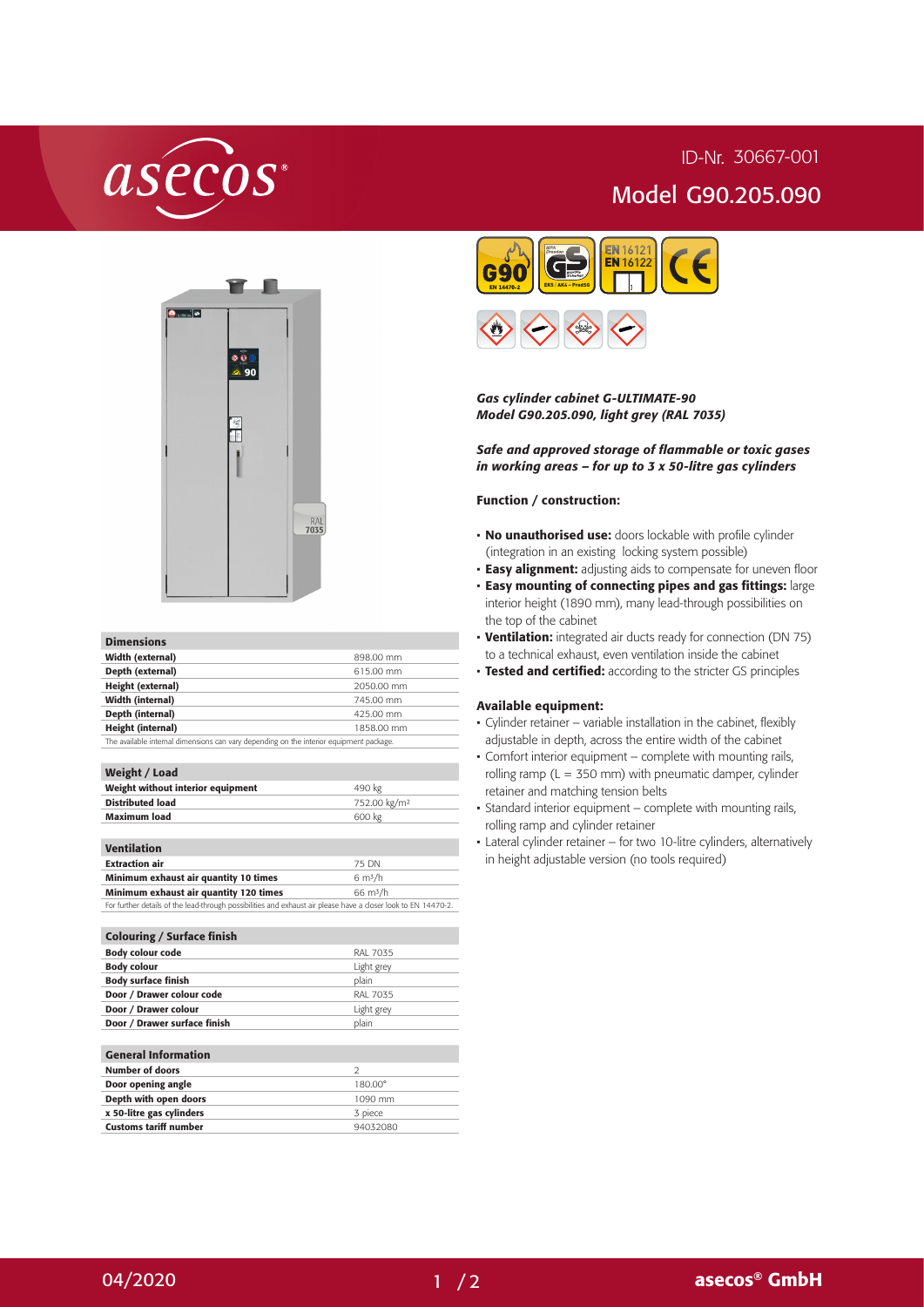# asecos

## ID-Nr. 30667-001 Model G90.205.090



#### Dimensions

| Width (external)  | 898.00 mm  |
|-------------------|------------|
| Depth (external)  | 615.00 mm  |
| Height (external) | 2050.00 mm |
| Width (internal)  | 745.00 mm  |
| Depth (internal)  | 425.00 mm  |
| Height (internal) | 1858.00 mm |
|                   |            |

The available internal dimensions can vary depending on the interior equipment package.

## Weight / Load

| Weight without interior equipment | 490 kg                   |  |
|-----------------------------------|--------------------------|--|
| <b>Distributed load</b>           | 752.00 kg/m <sup>2</sup> |  |
| <b>Maximum load</b>               | 600 kg                   |  |
|                                   |                          |  |
|                                   |                          |  |

## Ventilation

| <b>Extraction air</b>                                                                                          | 75 DN              |
|----------------------------------------------------------------------------------------------------------------|--------------------|
| Minimum exhaust air quantity 10 times                                                                          | 6 $\rm m^3/h$      |
| Minimum exhaust air quantity 120 times                                                                         | $66 \text{ m}^3/h$ |
| For further details of the lead-through possibilities and exhaust air please have a closer look to EN 14470-2. |                    |

| <b>Colouring / Surface finish</b> |                 |
|-----------------------------------|-----------------|
| <b>Body colour code</b>           | RAL 7035        |
| <b>Body colour</b>                | Light grey      |
| <b>Body surface finish</b>        | plain           |
| Door / Drawer colour code         | <b>RAL 7035</b> |
| Door / Drawer colour              | Light grey      |
| Door / Drawer surface finish      | plain           |
|                                   |                 |
| <b>General Information</b>        |                 |
| <b>Number of doors</b>            | $\mathcal{D}$   |
| Door opening angle                | 180.00°         |
| Depth with open doors             | 1090 mm         |
| x 50-litre gas cylinders          | 3 piece         |
| Customs tariff number             | 94032080        |





### *Gas cylinder cabinet G-ULTIMATE-90 Model G90.205.090, light grey (RAL 7035)*

*Safe and approved storage of flammable or toxic gases in working areas – for up to 3 x 50-litre gas cylinders*

#### Function / construction:

- No unauthorised use: doors lockable with profile cylinder (integration in an existing locking system possible)
- **· Easy alignment:** adjusting aids to compensate for uneven floor
- Easy mounting of connecting pipes and gas fittings: large interior height (1890 mm), many lead-through possibilities on the top of the cabinet
- Ventilation: integrated air ducts ready for connection (DN 75) to a technical exhaust, even ventilation inside the cabinet
- **Tested and certified:** according to the stricter GS principles

#### Available equipment:

- Cylinder retainer variable installation in the cabinet, flexibly adjustable in depth, across the entire width of the cabinet
- Comfort interior equipment complete with mounting rails, rolling ramp ( $L = 350$  mm) with pneumatic damper, cylinder retainer and matching tension belts
- Standard interior equipment complete with mounting rails, rolling ramp and cylinder retainer
- Lateral cylinder retainer for two 10-litre cylinders, alternatively in height adjustable version (no tools required)